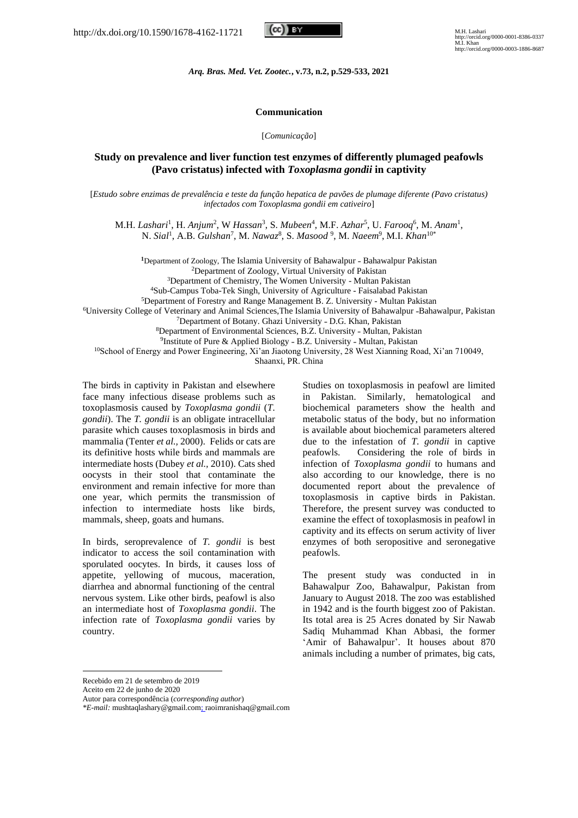

*Arq. Bras. Med. Vet. Zootec.***, v.73, n.2, p.529-533, 2021**

## **Communication**

[*Comunicação*]

## **Study on prevalence and liver function test enzymes of differently plumaged peafowls (Pavo cristatus) infected with** *Toxoplasma gondii* **in captivity**

[*Estudo sobre enzimas de prevalência e teste da função hepatica de pavões de plumage diferente (Pavo cristatus) infectados com Toxoplasma gondii em cativeiro*]

M.H. Lashari<sup>1</sup>, H. Anjum<sup>2</sup>, W Hassan<sup>3</sup>, S. Mubeen<sup>4</sup>, M.F. Azhar<sup>5</sup>, U. Farooq<sup>6</sup>, M. Anam<sup>1</sup>, N. Sial<sup>1</sup>, A.B. *Gulshan<sup>7</sup>*, M. *Nawaz*<sup>8</sup>, S. *Masood* <sup>9</sup>, M. *Naeem*<sup>9</sup>, M.I. *Khan*<sup>10\*</sup>

<sup>1</sup>Department of Zoology, The Islamia University of Bahawalpur - Bahawalpur Pakistan <sup>2</sup>Department of Zoology, Virtual University of Pakistan

<sup>3</sup>Department of Chemistry, The Women University - Multan Pakistan

<sup>4</sup>Sub-Campus Toba-Tek Singh, University of Agriculture - Faisalabad Pakistan

<sup>5</sup>Department of Forestry and Range Management B. Z. University - Multan Pakistan

<sup>6</sup>University College of Veterinary and Animal Sciences, The Islamia University of Bahawalpur -Bahawalpur, Pakistan

<sup>7</sup>Department of Botany. Ghazi University - D.G. Khan, Pakistan

<sup>8</sup>Department of Environmental Sciences, B.Z. University - Multan, Pakistan

<sup>9</sup>Institute of Pure & Applied Biology - B.Z. University - Multan, Pakistan

<sup>10</sup>School of Energy and Power Engineering, Xi'an Jiaotong University, 28 West Xianning Road, Xi'an 710049,

Shaanxi, PR. China

The birds in captivity in Pakistan and elsewhere face many infectious disease problems such as toxoplasmosis caused by *Toxoplasma gondii* (*T. gondii*). The *T. gondii* is an obligate intracellular parasite which causes toxoplasmosis in birds and mammalia (Tenter *et al.,* 2000). Felids or cats are its definitive hosts while birds and mammals are intermediate hosts (Dubey *et al.,* 2010). Cats shed oocysts in their stool that contaminate the environment and remain infective for more than one year, which permits the transmission of infection to intermediate hosts like birds, mammals, sheep, goats and humans.

In birds, seroprevalence of *T. gondii* is best indicator to access the soil contamination with sporulated oocytes. In birds, it causes loss of appetite, yellowing of mucous, maceration, diarrhea and abnormal functioning of the central nervous system. Like other birds, peafowl is also an intermediate host of *Toxoplasma gondii*. The infection rate of *Toxoplasma gondii* varies by country.

Studies on toxoplasmosis in peafowl are limited in Pakistan. Similarly, hematological and biochemical parameters show the health and metabolic status of the body, but no information is available about biochemical parameters altered due to the infestation of *T. gondii* in captive peafowls. Considering the role of birds in infection of *Toxoplasma gondii* to humans and also according to our knowledge, there is no documented report about the prevalence of toxoplasmosis in captive birds in Pakistan. Therefore, the present survey was conducted to examine the effect of toxoplasmosis in peafowl in captivity and its effects on serum activity of liver enzymes of both seropositive and seronegative peafowls.

The present study was conducted in in Bahawalpur Zoo, Bahawalpur, Pakistan from January to August 2018. The zoo was established in 1942 and is the fourth biggest zoo of Pakistan. Its total area is 25 Acres donated by Sir Nawab Sadiq Muhammad Khan Abbasi, the former 'Amir of Bahawalpur'. It houses about 870 animals including a number of primates, big cats,

Recebido em 21 de setembro de 2019

Aceito em 22 de junho de 2020

Autor para correspondência (*corresponding author*)

*<sup>\*</sup>E-mail:* mushtaqlashary@gmail.com; raoimranishaq@gmail.com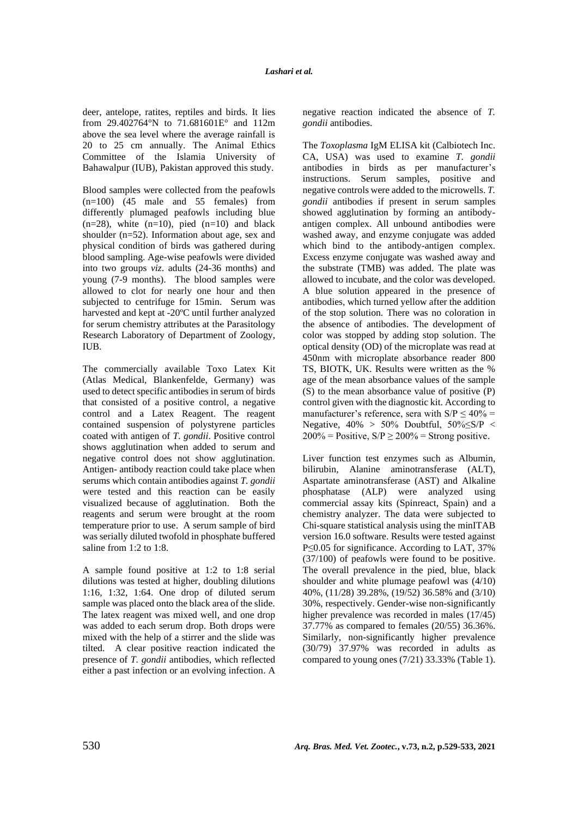deer, antelope, ratites, reptiles and birds. It lies from 29.402764°N to 71.681601E° and 112m above the sea level where the average rainfall is 20 to 25 cm annually. The Animal Ethics Committee of the Islamia University of Bahawalpur (IUB), Pakistan approved this study.

Blood samples were collected from the peafowls  $(n=100)$  (45 male and 55 females) from differently plumaged peafowls including blue  $(n=28)$ , white  $(n=10)$ , pied  $(n=10)$  and black shoulder (n=52). Information about age, sex and physical condition of birds was gathered during blood sampling. Age-wise peafowls were divided into two groups *viz*. adults (24-36 months) and young (7-9 months). The blood samples were allowed to clot for nearly one hour and then subjected to centrifuge for 15min. Serum was harvested and kept at -20ºC until further analyzed for serum chemistry attributes at the Parasitology Research Laboratory of Department of Zoology, IUB.

The commercially available Toxo Latex Kit (Atlas Medical, Blankenfelde, Germany) was used to detect specific antibodies in serum of birds that consisted of a positive control, a negative control and a Latex Reagent. The reagent contained suspension of polystyrene particles coated with antigen of *T. gondii*. Positive control shows agglutination when added to serum and negative control does not show agglutination. Antigen- antibody reaction could take place when serums which contain antibodies against *T. gondii* were tested and this reaction can be easily visualized because of agglutination. Both the reagents and serum were brought at the room temperature prior to use. A serum sample of bird was serially diluted twofold in phosphate buffered saline from 1:2 to 1:8.

A sample found positive at 1:2 to 1:8 serial dilutions was tested at higher, doubling dilutions 1:16, 1:32, 1:64. One drop of diluted serum sample was placed onto the black area of the slide. The latex reagent was mixed well, and one drop was added to each serum drop. Both drops were mixed with the help of a stirrer and the slide was tilted. A clear positive reaction indicated the presence of *T. gondii* antibodies, which reflected either a past infection or an evolving infection. A negative reaction indicated the absence of *T. gondii* antibodies.

The *Toxoplasma* IgM ELISA kit (Calbiotech Inc. CA, USA) was used to examine *T. gondii* antibodies in birds as per manufacturer's instructions. Serum samples, positive and negative controls were added to the microwells. *T. gondii* antibodies if present in serum samples showed agglutination by forming an antibodyantigen complex. All unbound antibodies were washed away, and enzyme conjugate was added which bind to the antibody-antigen complex. Excess enzyme conjugate was washed away and the substrate (TMB) was added. The plate was allowed to incubate, and the color was developed. A blue solution appeared in the presence of antibodies, which turned yellow after the addition of the stop solution. There was no coloration in the absence of antibodies. The development of color was stopped by adding stop solution. The optical density (OD) of the microplate was read at 450nm with microplate absorbance reader 800 TS, BIOTK, UK. Results were written as the % age of the mean absorbance values of the sample (S) to the mean absorbance value of positive (P) control given with the diagnostic kit. According to manufacturer's reference, sera with  $S/P < 40\%$  = Negative,  $40\% > 50\%$  Doubtful,  $50\% \leq S/P <$  $200\%$  = Positive,  $S/P \ge 200\%$  = Strong positive.

Liver function test enzymes such as Albumin, bilirubin, Alanine aminotransferase (ALT), Aspartate aminotransferase (AST) and Alkaline phosphatase (ALP) were analyzed using commercial assay kits (Spinreact, Spain) and a chemistry analyzer. The data were subjected to Chi-square statistical analysis using the minITAB version 16.0 software. Results were tested against P≤0.05 for significance. According to LAT, 37% (37/100) of peafowls were found to be positive. The overall prevalence in the pied, blue, black shoulder and white plumage peafowl was (4/10) 40%, (11/28) 39.28%, (19/52) 36.58% and (3/10) 30%, respectively. Gender-wise non-significantly higher prevalence was recorded in males (17/45) 37.77% as compared to females (20/55) 36.36%. Similarly, non-significantly higher prevalence (30/79) 37.97% was recorded in adults as compared to young ones (7/21) 33.33% (Table 1).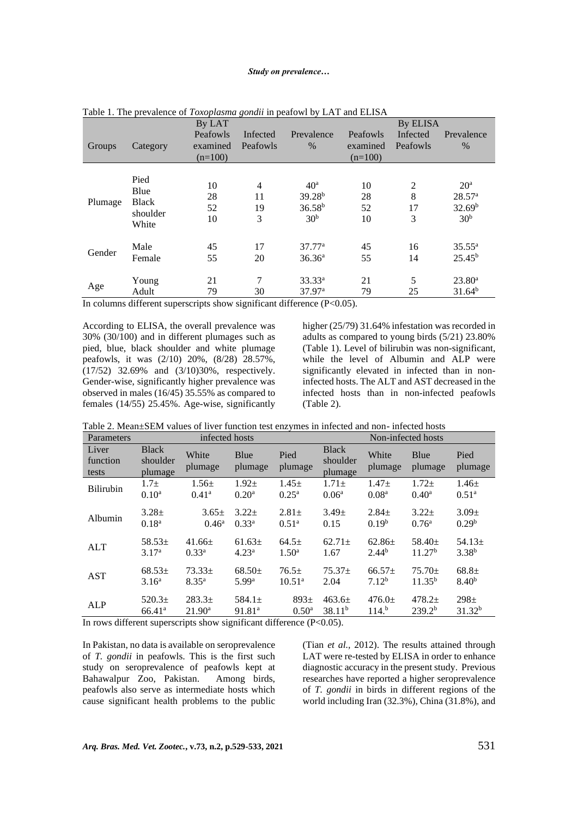### *Study on prevalence…*

|         |                                                   | By LAT                            | $\circ$              |                                                                  | By ELISA                          |                                |                                                                                |  |
|---------|---------------------------------------------------|-----------------------------------|----------------------|------------------------------------------------------------------|-----------------------------------|--------------------------------|--------------------------------------------------------------------------------|--|
| Groups  | Category                                          | Peafowls<br>examined<br>$(n=100)$ | Infected<br>Peafowls | Prevalence<br>$\%$                                               | Peafowls<br>examined<br>$(n=100)$ | Infected<br>Peafowls           | Prevalence<br>$\frac{0}{0}$                                                    |  |
| Plumage | Pied<br>Blue<br><b>Black</b><br>shoulder<br>White | 10<br>28<br>52<br>10              | 4<br>11<br>19<br>3   | 40 <sup>a</sup><br>$39.28^{b}$<br>$36.58^{b}$<br>30 <sup>b</sup> | 10<br>28<br>52<br>10              | $\overline{2}$<br>8<br>17<br>3 | 20 <sup>a</sup><br>28.57 <sup>a</sup><br>32.69 <sup>b</sup><br>30 <sup>b</sup> |  |
| Gender  | Male<br>Female                                    | 45<br>55                          | 17<br>20             | 37.77 <sup>a</sup><br>36.36 <sup>a</sup>                         | 45<br>55                          | 16<br>14                       | $35.55^{\rm a}$<br>$25.45^b$                                                   |  |
| Age     | Young<br>Adult                                    | 21<br>79                          | 7<br>30              | $33.33^{a}$<br>$37.97^{\rm a}$                                   | 21<br>79                          | 5<br>25                        | $23.80^{\circ}$<br>$31.64^{b}$                                                 |  |

Table 1. The prevalence of *Toxoplasma gondii* in peafowl by LAT and ELISA

In columns different superscripts show significant difference (P<0.05).

According to ELISA, the overall prevalence was 30% (30/100) and in different plumages such as pied, blue, black shoulder and white plumage peafowls, it was (2/10) 20%, (8/28) 28.57%, (17/52) 32.69% and (3/10)30%, respectively. Gender-wise, significantly higher prevalence was observed in males (16/45) 35.55% as compared to females (14/55) 25.45%. Age-wise, significantly higher (25/79) 31.64% infestation was recorded in adults as compared to young birds (5/21) 23.80% (Table 1). Level of bilirubin was non-significant, while the level of Albumin and ALP were significantly elevated in infected than in noninfected hosts. The ALT and AST decreased in the infected hosts than in non-infected peafowls (Table 2).

Table 2. Mean±SEM values of liver function test enzymes in infected and non- infected hosts

| Parameters                 | infected hosts                      |                   |                    |                   | Non-infected hosts                  |                   |                    |                    |
|----------------------------|-------------------------------------|-------------------|--------------------|-------------------|-------------------------------------|-------------------|--------------------|--------------------|
| Liver<br>function<br>tests | <b>Black</b><br>shoulder<br>plumage | White<br>plumage  | Blue<br>plumage    | Pied<br>plumage   | <b>Black</b><br>shoulder<br>plumage | White<br>plumage  | Blue<br>plumage    | Pied<br>plumage    |
| <b>Bilirubin</b>           | $1.7\pm$                            | $1.56 \pm$        | $1.92 +$           | $1.45 \pm$        | $1.71 \pm$                          | $1.47 +$          | $1.72+$            | $1.46 \pm$         |
|                            | 0.10 <sup>a</sup>                   | $0.41^{\rm a}$    | 0.20 <sup>a</sup>  | $0.25^{\rm a}$    | 0.06 <sup>a</sup>                   | 0.08 <sup>a</sup> | $0.40^a$           | 0.51 <sup>a</sup>  |
| Albumin                    | $3.28 \pm$                          | $3.65 \pm$        | $3.22 \pm$         | $2.81 \pm$        | $3.49 \pm$                          | $2.84 \pm$        | $3.22 \pm$         | $3.09 \pm$         |
|                            | 0.18 <sup>a</sup>                   | $0.46^{\rm a}$    | 0.33 <sup>a</sup>  | 0.51 <sup>a</sup> | 0.15                                | 0.19 <sup>b</sup> | 0.76 <sup>a</sup>  | 0.29 <sup>b</sup>  |
| <b>ALT</b>                 | $58.53+$                            | $41.66 \pm$       | $61.63\pm$         | $64.5+$           | $62.71 \pm$                         | $62.86\pm$        | 58.40 $\pm$        | 54.13 $\pm$        |
|                            | 3.17 <sup>a</sup>                   | 0.33 <sup>a</sup> | 4.23 <sup>a</sup>  | 1.50 <sup>a</sup> | 1.67                                | 2.44 <sup>b</sup> | 11.27 <sup>b</sup> | 3.38 <sup>b</sup>  |
| <b>AST</b>                 | $68.53\pm$                          | $73.33\pm$        | $68.50+$           | $76.5+$           | $75.37+$                            | $66.57+$          | $75.70 \pm$        | $68.8+$            |
|                            | 3.16 <sup>a</sup>                   | $8.35^{a}$        | 5.99 <sup>a</sup>  | $10.51^{\rm a}$   | 2.04                                | $7.12^{b}$        | $11.35^{b}$        | 8.40 <sup>b</sup>  |
| ALP                        | $520.3+$                            | $283.3+$          | 584.1 $\pm$        | $893+$            | $463.6 \pm$                         | $476.0 \pm$       | $478.2 \pm$        | $298 +$            |
|                            | 66.41 <sup>a</sup>                  | $21.90^{\rm a}$   | 91.81 <sup>a</sup> | 0.50 <sup>a</sup> | 38.11 <sup>b</sup>                  | 114. <sup>b</sup> | 239.2 <sup>b</sup> | 31.32 <sup>b</sup> |

In rows different superscripts show significant difference  $(P<0.05)$ .

In Pakistan, no data is available on seroprevalence of *T. gondii* in peafowls. This is the first such study on seroprevalence of peafowls kept at Bahawalpur Zoo, Pakistan. Among birds, peafowls also serve as intermediate hosts which cause significant health problems to the public

(Tian *et al.,* 2012). The results attained through LAT were re-tested by ELISA in order to enhance diagnostic accuracy in the present study. Previous researches have reported a higher seroprevalence of *T. gondii* in birds in different regions of the world including Iran (32.3%), China (31.8%), and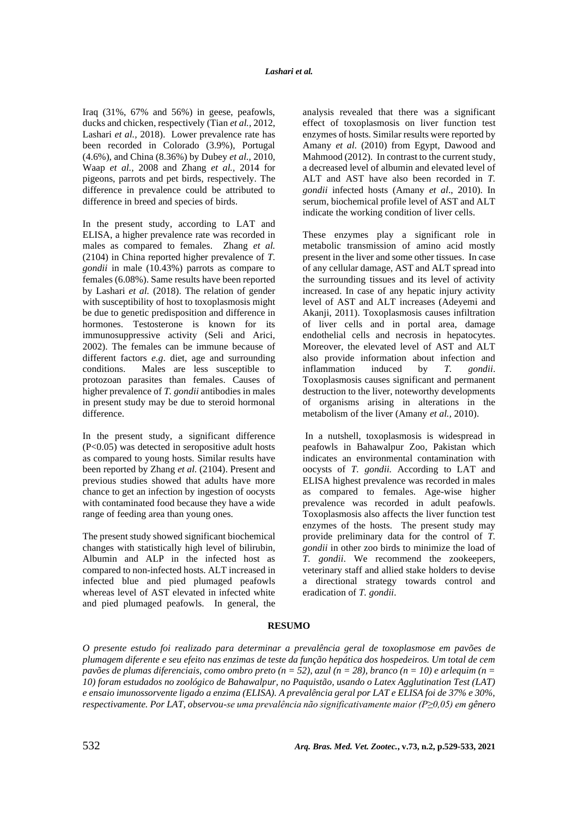Iraq (31%, 67% and 56%) in geese, peafowls, ducks and chicken, respectively (Tian *et al.,* 2012, Lashari *et al.,* 2018). Lower prevalence rate has been recorded in Colorado (3.9%), Portugal (4.6%), and China (8.36%) by Dubey *et al.,* 2010, Waap *et al.,* 2008 and Zhang *et al.,* 2014 for pigeons, parrots and pet birds, respectively. The difference in prevalence could be attributed to difference in breed and species of birds.

In the present study, according to LAT and ELISA, a higher prevalence rate was recorded in males as compared to females. Zhang *et al.*  (2104) in China reported higher prevalence of *T. gondii* in male (10.43%) parrots as compare to females (6.08%). Same results have been reported by Lashari *et al.* (2018). The relation of gender with susceptibility of host to toxoplasmosis might be due to genetic predisposition and difference in hormones. Testosterone is known for its immunosuppressive activity (Seli and Arici, 2002). The females can be immune because of different factors *e.g*. diet, age and surrounding conditions. Males are less susceptible to protozoan parasites than females. Causes of higher prevalence of *T. gondii* antibodies in males in present study may be due to steroid hormonal difference.

In the present study, a significant difference (P<0.05) was detected in seropositive adult hosts as compared to young hosts. Similar results have been reported by Zhang *et al.* (2104). Present and previous studies showed that adults have more chance to get an infection by ingestion of oocysts with contaminated food because they have a wide range of feeding area than young ones.

The present study showed significant biochemical changes with statistically high level of bilirubin, Albumin and ALP in the infected host as compared to non-infected hosts. ALT increased in infected blue and pied plumaged peafowls whereas level of AST elevated in infected white and pied plumaged peafowls. In general, the analysis revealed that there was a significant effect of toxoplasmosis on liver function test enzymes of hosts. Similar results were reported by Amany *et al*. (2010) from Egypt, Dawood and Mahmood (2012). In contrast to the current study, a decreased level of albumin and elevated level of ALT and AST have also been recorded in *T. gondii* infected hosts (Amany *et al*., 2010). In serum, biochemical profile level of AST and ALT indicate the working condition of liver cells.

These enzymes play a significant role in metabolic transmission of amino acid mostly present in the liver and some other tissues. In case of any cellular damage, AST and ALT spread into the surrounding tissues and its level of activity increased. In case of any hepatic injury activity level of AST and ALT increases (Adeyemi and Akanji, 2011). Toxoplasmosis causes infiltration of liver cells and in portal area, damage endothelial cells and necrosis in hepatocytes. Moreover, the elevated level of AST and ALT also provide information about infection and inflammation induced by *T. gondii*. Toxoplasmosis causes significant and permanent destruction to the liver, noteworthy developments of organisms arising in alterations in the metabolism of the liver (Amany *et al.,* 2010).

In a nutshell, toxoplasmosis is widespread in peafowls in Bahawalpur Zoo, Pakistan which indicates an environmental contamination with oocysts of *T. gondii.* According to LAT and ELISA highest prevalence was recorded in males as compared to females. Age-wise higher prevalence was recorded in adult peafowls. Toxoplasmosis also affects the liver function test enzymes of the hosts. The present study may provide preliminary data for the control of *T. gondii* in other zoo birds to minimize the load of *T. gondii*. We recommend the zookeepers, veterinary staff and allied stake holders to devise a directional strategy towards control and eradication of *T. gondii*.

# **RESUMO**

*O presente estudo foi realizado para determinar a prevalência geral de toxoplasmose em pavões de plumagem diferente e seu efeito nas enzimas de teste da função hepática dos hospedeiros. Um total de cem pavões de plumas diferenciais, como ombro preto (n = 52), azul (n = 28), branco (n = 10) e arlequim (n = 10) foram estudados no zoológico de Bahawalpur, no Paquistão, usando o Latex Agglutination Test (LAT) e ensaio imunossorvente ligado a enzima (ELISA). A prevalência geral por LAT e ELISA foi de 37% e 30%, respectivamente. Por LAT, observou-se uma prevalência não significativamente maior (P≥0,05) em gênero*